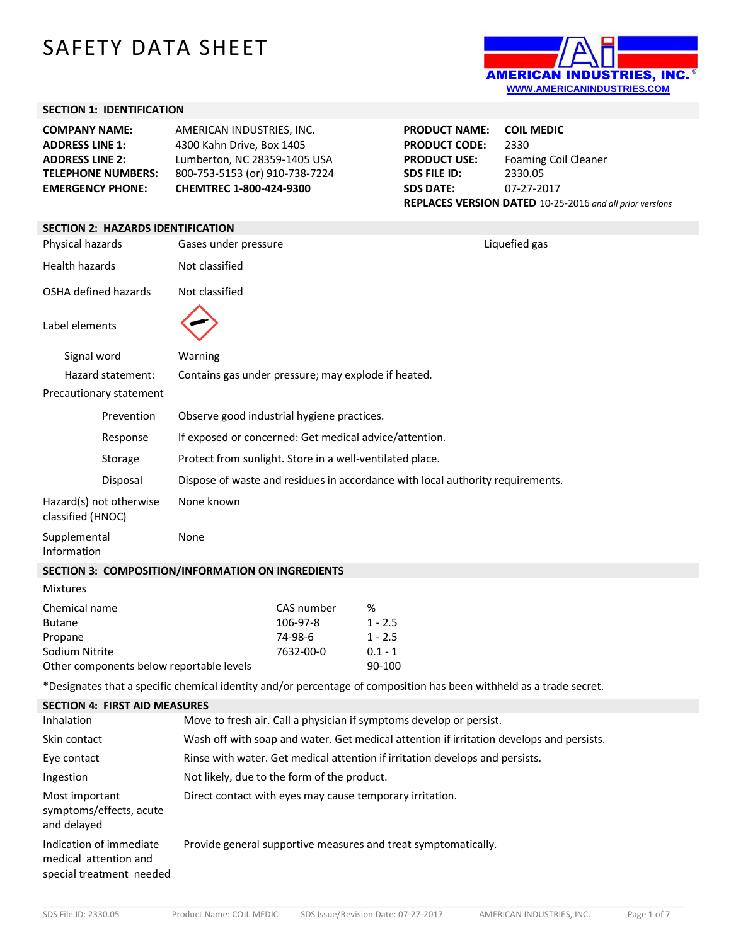# SAFETY DATA SHEET



## **SECTION 1: IDENTIFICATION**

| <b>COMPANY NAME:</b>      | AMERICAN INDUSTRIES, INC.      |
|---------------------------|--------------------------------|
| <b>ADDRESS LINE 1:</b>    | 4300 Kahn Drive, Box 1405      |
| <b>ADDRESS LINE 2:</b>    | Lumberton, NC 28359-1405 USA   |
| <b>TELEPHONE NUMBERS:</b> | 800-753-5153 (or) 910-738-7224 |
| <b>EMERGENCY PHONE:</b>   | CHEMTREC 1-800-424-9300        |
|                           |                                |

**PRODUCT NAME: COIL MEDIC PRODUCT CODE:** 2330 **PRODUCT USE:** Foaming Coil Cleaner **SDS FILE ID:** 2330.05 **SDS DATE:** 07-27-2017 **REPLACES VERSION DATED** 10-25-2016 *and all prior versions*

#### **SECTION 2: HAZARDS IDENTIFICATION**

| Physical hazards                                            |                                      | Gases under pressure                                                                     |                                                        |                                                                  | Liquefied gas                                                                                                       |
|-------------------------------------------------------------|--------------------------------------|------------------------------------------------------------------------------------------|--------------------------------------------------------|------------------------------------------------------------------|---------------------------------------------------------------------------------------------------------------------|
| Health hazards                                              |                                      | Not classified                                                                           |                                                        |                                                                  |                                                                                                                     |
| OSHA defined hazards                                        |                                      | Not classified                                                                           |                                                        |                                                                  |                                                                                                                     |
| Label elements                                              |                                      |                                                                                          |                                                        |                                                                  |                                                                                                                     |
| Signal word                                                 |                                      | Warning                                                                                  |                                                        |                                                                  |                                                                                                                     |
|                                                             | Hazard statement:                    | Contains gas under pressure; may explode if heated.                                      |                                                        |                                                                  |                                                                                                                     |
|                                                             | Precautionary statement              |                                                                                          |                                                        |                                                                  |                                                                                                                     |
|                                                             | Prevention                           | Observe good industrial hygiene practices.                                               |                                                        |                                                                  |                                                                                                                     |
|                                                             | Response                             |                                                                                          | If exposed or concerned: Get medical advice/attention. |                                                                  |                                                                                                                     |
|                                                             | Storage                              | Protect from sunlight. Store in a well-ventilated place.                                 |                                                        |                                                                  |                                                                                                                     |
|                                                             | Disposal                             | Dispose of waste and residues in accordance with local authority requirements.           |                                                        |                                                                  |                                                                                                                     |
| classified (HNOC)                                           | Hazard(s) not otherwise              | None known                                                                               |                                                        |                                                                  |                                                                                                                     |
| Supplemental<br>Information                                 |                                      | None                                                                                     |                                                        |                                                                  |                                                                                                                     |
|                                                             |                                      | SECTION 3: COMPOSITION/INFORMATION ON INGREDIENTS                                        |                                                        |                                                                  |                                                                                                                     |
| <b>Mixtures</b>                                             |                                      |                                                                                          |                                                        |                                                                  |                                                                                                                     |
| Chemical name<br><b>Butane</b><br>Propane<br>Sodium Nitrite |                                      | Other components below reportable levels                                                 | CAS number<br>106-97-8<br>74-98-6<br>7632-00-0         | $\frac{\%}{\%}$<br>$1 - 2.5$<br>$1 - 2.5$<br>$0.1 - 1$<br>90-100 |                                                                                                                     |
|                                                             |                                      |                                                                                          |                                                        |                                                                  | *Designates that a specific chemical identity and/or percentage of composition has been withheld as a trade secret. |
|                                                             | <b>SECTION 4: FIRST AID MEASURES</b> |                                                                                          |                                                        |                                                                  |                                                                                                                     |
| Inhalation                                                  |                                      | Move to fresh air. Call a physician if symptoms develop or persist.                      |                                                        |                                                                  |                                                                                                                     |
| Skin contact                                                |                                      | Wash off with soap and water. Get medical attention if irritation develops and persists. |                                                        |                                                                  |                                                                                                                     |
| Eye contact                                                 |                                      | Rinse with water. Get medical attention if irritation develops and persists.             |                                                        |                                                                  |                                                                                                                     |
| Ingestion                                                   |                                      | Not likely, due to the form of the product.                                              |                                                        |                                                                  |                                                                                                                     |
| Most important                                              | symptoms/effects, acute              |                                                                                          |                                                        | Direct contact with eyes may cause temporary irritation.         |                                                                                                                     |

Indication of immediate Provide general supportive measures and treat symptomatically.

medical attention and special treatment needed

and delayed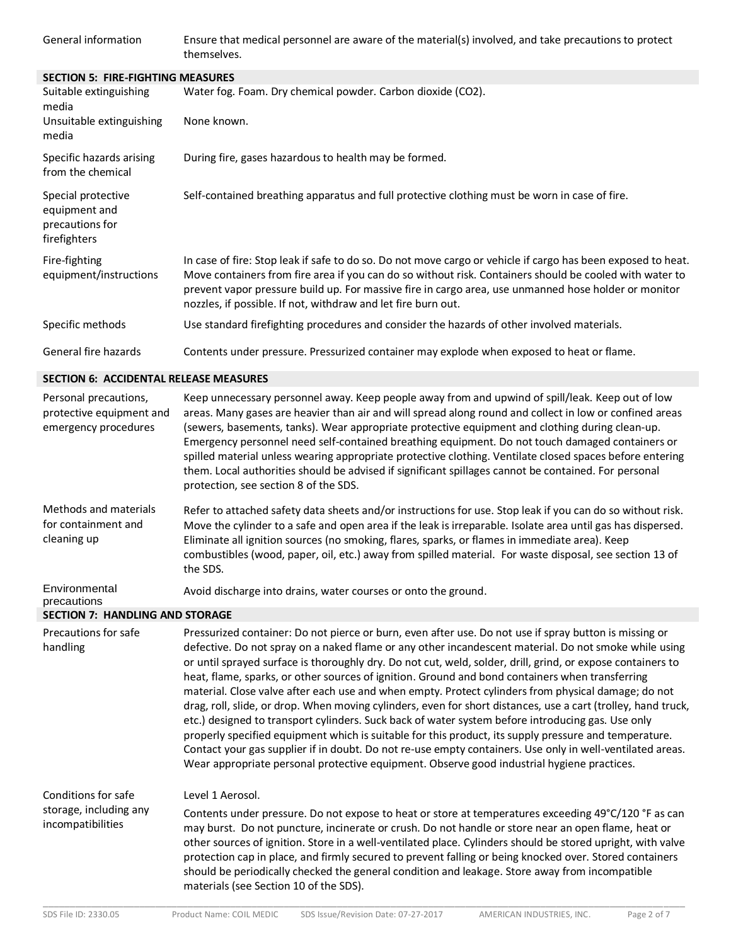General information Ensure that medical personnel are aware of the material(s) involved, and take precautions to protect themselves.

**SECTION 5: FIRE-FIGHTING MEASURES**

| SLCTIVI S. FINL-FIUITITIN INLASONLS                                    |                                                                                                                                                                                                                                                                                                                                                                                                  |
|------------------------------------------------------------------------|--------------------------------------------------------------------------------------------------------------------------------------------------------------------------------------------------------------------------------------------------------------------------------------------------------------------------------------------------------------------------------------------------|
| Suitable extinguishing<br>media                                        | Water fog. Foam. Dry chemical powder. Carbon dioxide (CO2).                                                                                                                                                                                                                                                                                                                                      |
| Unsuitable extinguishing<br>media                                      | None known.                                                                                                                                                                                                                                                                                                                                                                                      |
| Specific hazards arising<br>from the chemical                          | During fire, gases hazardous to health may be formed.                                                                                                                                                                                                                                                                                                                                            |
| Special protective<br>equipment and<br>precautions for<br>firefighters | Self-contained breathing apparatus and full protective clothing must be worn in case of fire.                                                                                                                                                                                                                                                                                                    |
| Fire-fighting<br>equipment/instructions                                | In case of fire: Stop leak if safe to do so. Do not move cargo or vehicle if cargo has been exposed to heat.<br>Move containers from fire area if you can do so without risk. Containers should be cooled with water to<br>prevent vapor pressure build up. For massive fire in cargo area, use unmanned hose holder or monitor<br>nozzles, if possible. If not, withdraw and let fire burn out. |
| Specific methods                                                       | Use standard firefighting procedures and consider the hazards of other involved materials.                                                                                                                                                                                                                                                                                                       |
| General fire hazards                                                   | Contents under pressure. Pressurized container may explode when exposed to heat or flame.                                                                                                                                                                                                                                                                                                        |

#### **SECTION 6: ACCIDENTAL RELEASE MEASURES**

| Personal precautions,<br>protective equipment and<br>emergency procedures | Keep unnecessary personnel away. Keep people away from and upwind of spill/leak. Keep out of low<br>areas. Many gases are heavier than air and will spread along round and collect in low or confined areas<br>(sewers, basements, tanks). Wear appropriate protective equipment and clothing during clean-up.<br>Emergency personnel need self-contained breathing equipment. Do not touch damaged containers or<br>spilled material unless wearing appropriate protective clothing. Ventilate closed spaces before entering<br>them. Local authorities should be advised if significant spillages cannot be contained. For personal<br>protection, see section 8 of the SDS. |
|---------------------------------------------------------------------------|--------------------------------------------------------------------------------------------------------------------------------------------------------------------------------------------------------------------------------------------------------------------------------------------------------------------------------------------------------------------------------------------------------------------------------------------------------------------------------------------------------------------------------------------------------------------------------------------------------------------------------------------------------------------------------|
| Methods and materials<br>for containment and<br>cleaning up               | Refer to attached safety data sheets and/or instructions for use. Stop leak if you can do so without risk.<br>Move the cylinder to a safe and open area if the leak is irreparable. Isolate area until gas has dispersed.<br>Eliminate all ignition sources (no smoking, flares, sparks, or flames in immediate area). Keep<br>combustibles (wood, paper, oil, etc.) away from spilled material. For waste disposal, see section 13 of<br>the SDS.                                                                                                                                                                                                                             |
| Environmental<br>precautions                                              | Avoid discharge into drains, water courses or onto the ground.                                                                                                                                                                                                                                                                                                                                                                                                                                                                                                                                                                                                                 |
| <b>SECTION 7: HANDLING AND STORAGE</b>                                    |                                                                                                                                                                                                                                                                                                                                                                                                                                                                                                                                                                                                                                                                                |
| <b>Drocautions for safe</b>                                               | Processized container: De not pierce or burn, avon after use De not use if spray button is missing or                                                                                                                                                                                                                                                                                                                                                                                                                                                                                                                                                                          |

| Precautions for safe<br>handling | Pressurized container: Do not pierce or burn, even after use. Do not use if spray button is missing or<br>defective. Do not spray on a naked flame or any other incandescent material. Do not smoke while using<br>or until sprayed surface is thoroughly dry. Do not cut, weld, solder, drill, grind, or expose containers to<br>heat, flame, sparks, or other sources of ignition. Ground and bond containers when transferring<br>material. Close valve after each use and when empty. Protect cylinders from physical damage; do not<br>drag, roll, slide, or drop. When moving cylinders, even for short distances, use a cart (trolley, hand truck,<br>etc.) designed to transport cylinders. Suck back of water system before introducing gas. Use only<br>properly specified equipment which is suitable for this product, its supply pressure and temperature.<br>Contact your gas supplier if in doubt. Do not re-use empty containers. Use only in well-ventilated areas.<br>Wear appropriate personal protective equipment. Observe good industrial hygiene practices. |
|----------------------------------|------------------------------------------------------------------------------------------------------------------------------------------------------------------------------------------------------------------------------------------------------------------------------------------------------------------------------------------------------------------------------------------------------------------------------------------------------------------------------------------------------------------------------------------------------------------------------------------------------------------------------------------------------------------------------------------------------------------------------------------------------------------------------------------------------------------------------------------------------------------------------------------------------------------------------------------------------------------------------------------------------------------------------------------------------------------------------------|
| Conditions for safe              | Level 1 Aerosol.                                                                                                                                                                                                                                                                                                                                                                                                                                                                                                                                                                                                                                                                                                                                                                                                                                                                                                                                                                                                                                                                   |

storage, including any incompatibilities Contents under pressure. Do not expose to heat or store at temperatures exceeding 49°C/120 °F as can may burst. Do not puncture, incinerate or crush. Do not handle or store near an open flame, heat or other sources of ignition. Store in a well-ventilated place. Cylinders should be stored upright, with valve protection cap in place, and firmly secured to prevent falling or being knocked over. Stored containers should be periodically checked the general condition and leakage. Store away from incompatible materials (see Section 10 of the SDS).

\_\_\_\_\_\_\_\_\_\_\_\_\_\_\_\_\_\_\_\_\_\_\_\_\_\_\_\_\_\_\_\_\_\_\_\_\_\_\_\_\_\_\_\_\_\_\_\_\_\_\_\_\_\_\_\_\_\_\_\_\_\_\_\_\_\_\_\_\_\_\_\_\_\_\_\_\_\_\_\_\_\_\_\_\_\_\_\_\_\_\_\_\_\_\_\_\_\_\_\_\_\_\_\_\_\_\_\_\_\_\_\_\_\_\_\_\_\_\_\_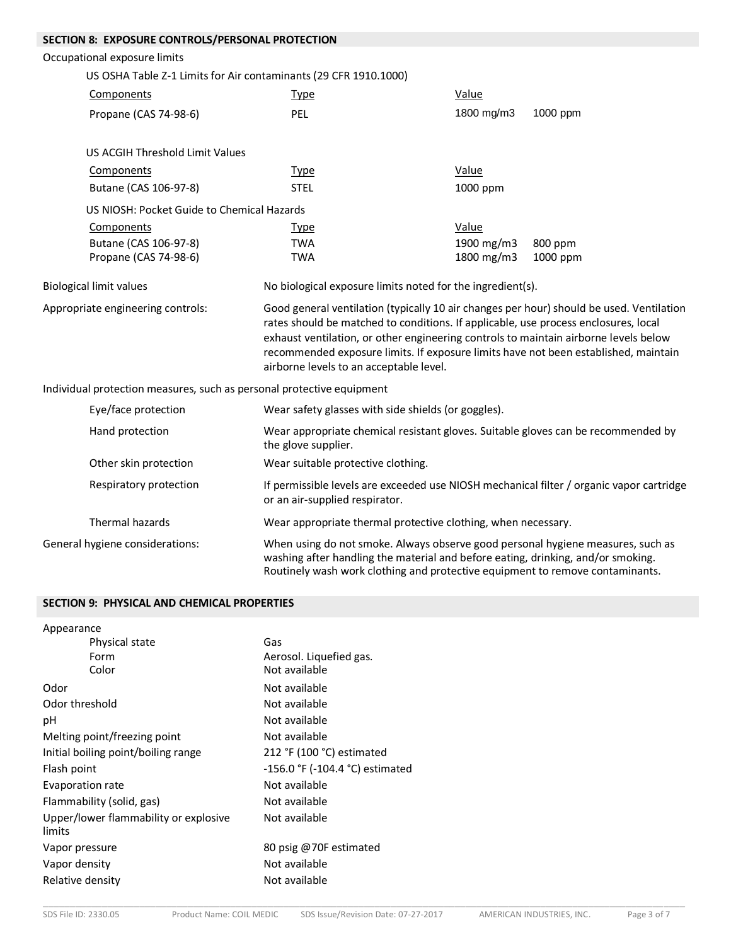# **SECTION 8: EXPOSURE CONTROLS/PERSONAL PROTECTION**

### Occupational exposure limits

| Components                                 | Type        | Value         |            |
|--------------------------------------------|-------------|---------------|------------|
| Propane (CAS 74-98-6)                      | <b>PEL</b>  | 1800 mg/m3    | 1000 ppm   |
|                                            |             |               |            |
| US ACGIH Threshold Limit Values            |             |               |            |
| Components                                 | Type        | Value         |            |
| Butane (CAS 106-97-8)                      | <b>STEL</b> | 1000 ppm      |            |
| US NIOSH: Pocket Guide to Chemical Hazards |             |               |            |
| Components                                 | <u>Type</u> | Value         |            |
| Butane (CAS 106-97-8)                      | TWA         | 1900 mg/m $3$ | 800 ppm    |
| Propane (CAS 74-98-6)                      | TWA         | 1800 mg/m $3$ | $1000$ ppm |

Biological limit values No biological exposure limits noted for the ingredient(s). Appropriate engineering controls: Good general ventilation (typically 10 air changes per hour) should be used. Ventilation rates should be matched to conditions. If applicable, use process enclosures, local exhaust ventilation, or other engineering controls to maintain airborne levels below recommended exposure limits. If exposure limits have not been established, maintain

airborne levels to an acceptable level.

Individual protection measures, such as personal protective equipment

| Eye/face protection             | Wear safety glasses with side shields (or goggles).                                                                                                                                                                                                  |
|---------------------------------|------------------------------------------------------------------------------------------------------------------------------------------------------------------------------------------------------------------------------------------------------|
| Hand protection                 | Wear appropriate chemical resistant gloves. Suitable gloves can be recommended by<br>the glove supplier.                                                                                                                                             |
| Other skin protection           | Wear suitable protective clothing.                                                                                                                                                                                                                   |
| Respiratory protection          | If permissible levels are exceeded use NIOSH mechanical filter / organic vapor cartridge<br>or an air-supplied respirator.                                                                                                                           |
| Thermal hazards                 | Wear appropriate thermal protective clothing, when necessary.                                                                                                                                                                                        |
| General hygiene considerations: | When using do not smoke. Always observe good personal hygiene measures, such as<br>washing after handling the material and before eating, drinking, and/or smoking.<br>Routinely wash work clothing and protective equipment to remove contaminants. |

## **SECTION 9: PHYSICAL AND CHEMICAL PROPERTIES**

| Appearance                                      |                                 |
|-------------------------------------------------|---------------------------------|
| Physical state                                  | Gas                             |
| Form                                            | Aerosol. Liquefied gas.         |
| Color                                           | Not available                   |
| Odor                                            | Not available                   |
| Odor threshold                                  | Not available                   |
| рH                                              | Not available                   |
| Melting point/freezing point                    | Not available                   |
| Initial boiling point/boiling range             | 212 °F (100 °C) estimated       |
| Flash point                                     | -156.0 °F (-104.4 °C) estimated |
| Evaporation rate                                | Not available                   |
| Flammability (solid, gas)                       | Not available                   |
| Upper/lower flammability or explosive<br>limits | Not available                   |
| Vapor pressure                                  | 80 psig @70F estimated          |
| Vapor density                                   | Not available                   |
| Relative density                                | Not available                   |
|                                                 |                                 |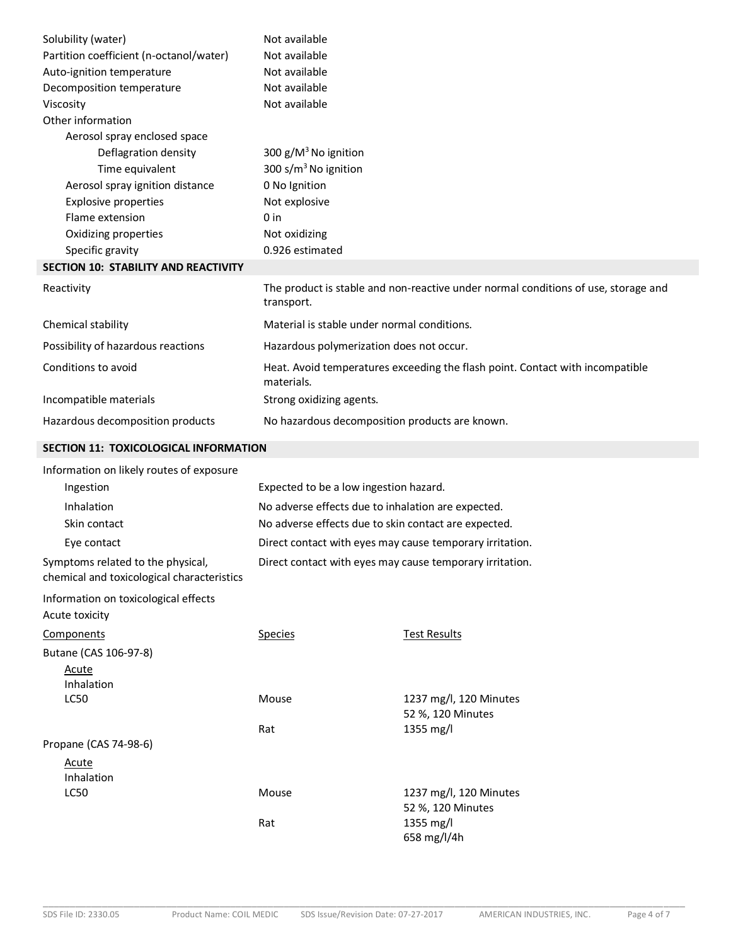| Solubility (water)                                                              | Not available                                            |                                                                                    |
|---------------------------------------------------------------------------------|----------------------------------------------------------|------------------------------------------------------------------------------------|
| Partition coefficient (n-octanol/water)                                         | Not available                                            |                                                                                    |
| Auto-ignition temperature                                                       | Not available                                            |                                                                                    |
| Decomposition temperature                                                       | Not available                                            |                                                                                    |
| Viscosity                                                                       | Not available                                            |                                                                                    |
| Other information                                                               |                                                          |                                                                                    |
| Aerosol spray enclosed space                                                    |                                                          |                                                                                    |
| Deflagration density                                                            | 300 $g/M^3$ No ignition                                  |                                                                                    |
| Time equivalent                                                                 | 300 s/ $m3$ No ignition                                  |                                                                                    |
| Aerosol spray ignition distance                                                 | 0 No Ignition                                            |                                                                                    |
| <b>Explosive properties</b>                                                     | Not explosive                                            |                                                                                    |
| Flame extension                                                                 | 0 in                                                     |                                                                                    |
| Oxidizing properties                                                            | Not oxidizing                                            |                                                                                    |
| Specific gravity                                                                | 0.926 estimated                                          |                                                                                    |
| <b>SECTION 10: STABILITY AND REACTIVITY</b>                                     |                                                          |                                                                                    |
| Reactivity                                                                      | transport.                                               | The product is stable and non-reactive under normal conditions of use, storage and |
| Chemical stability                                                              | Material is stable under normal conditions.              |                                                                                    |
| Possibility of hazardous reactions                                              | Hazardous polymerization does not occur.                 |                                                                                    |
| Conditions to avoid                                                             | materials.                                               | Heat. Avoid temperatures exceeding the flash point. Contact with incompatible      |
| Incompatible materials                                                          | Strong oxidizing agents.                                 |                                                                                    |
| Hazardous decomposition products                                                | No hazardous decomposition products are known.           |                                                                                    |
| SECTION 11: TOXICOLOGICAL INFORMATION                                           |                                                          |                                                                                    |
| Information on likely routes of exposure                                        |                                                          |                                                                                    |
| Ingestion                                                                       | Expected to be a low ingestion hazard.                   |                                                                                    |
| Inhalation                                                                      | No adverse effects due to inhalation are expected.       |                                                                                    |
| Skin contact                                                                    | No adverse effects due to skin contact are expected.     |                                                                                    |
| Eye contact                                                                     | Direct contact with eyes may cause temporary irritation. |                                                                                    |
| Symptoms related to the physical,<br>chemical and toxicological characteristics | Direct contact with eyes may cause temporary irritation. |                                                                                    |
| Information on toxicological effects<br>Acute toxicity                          |                                                          |                                                                                    |
| Components                                                                      | <b>Species</b>                                           | <b>Test Results</b>                                                                |
| Butane (CAS 106-97-8)                                                           |                                                          |                                                                                    |
| <b>Acute</b>                                                                    |                                                          |                                                                                    |

Propane (CAS 74-98-6) Inhalation LC50 Mouse

LC50 Mouse

Rat

Rat

1237 mg/l, 120 Minutes 52 %, 120 Minutes 1355 mg/l 658 mg/l/4h

1237 mg/l, 120 Minutes 52 %, 120 Minutes

1355 mg/l

Inhalation

Acute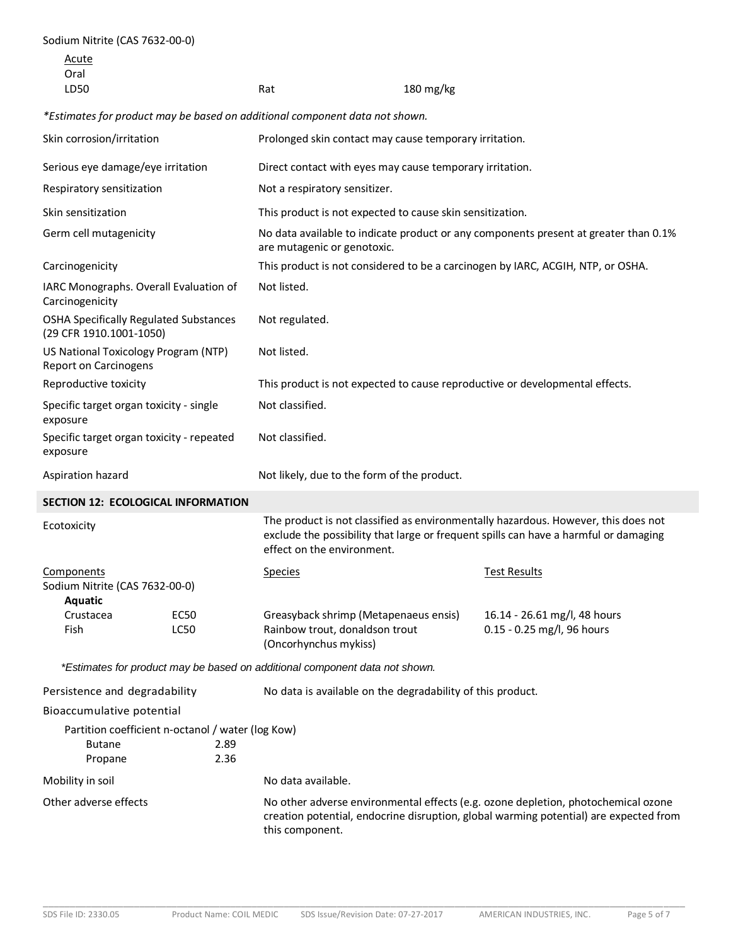| Sodium Nitrite (CAS 7632-00-0)                                              |                     |                                                                                                                     |                                                          |                                                                                                                                                                            |  |
|-----------------------------------------------------------------------------|---------------------|---------------------------------------------------------------------------------------------------------------------|----------------------------------------------------------|----------------------------------------------------------------------------------------------------------------------------------------------------------------------------|--|
| Acute<br>Oral                                                               |                     |                                                                                                                     |                                                          |                                                                                                                                                                            |  |
| LD50                                                                        |                     | Rat                                                                                                                 | $180$ mg/kg                                              |                                                                                                                                                                            |  |
| *Estimates for product may be based on additional component data not shown. |                     |                                                                                                                     |                                                          |                                                                                                                                                                            |  |
| Skin corrosion/irritation                                                   |                     | Prolonged skin contact may cause temporary irritation.                                                              |                                                          |                                                                                                                                                                            |  |
| Serious eye damage/eye irritation                                           |                     |                                                                                                                     | Direct contact with eyes may cause temporary irritation. |                                                                                                                                                                            |  |
| Respiratory sensitization                                                   |                     | Not a respiratory sensitizer.                                                                                       |                                                          |                                                                                                                                                                            |  |
| Skin sensitization                                                          |                     | This product is not expected to cause skin sensitization.                                                           |                                                          |                                                                                                                                                                            |  |
| Germ cell mutagenicity                                                      |                     | No data available to indicate product or any components present at greater than 0.1%<br>are mutagenic or genotoxic. |                                                          |                                                                                                                                                                            |  |
| Carcinogenicity                                                             |                     |                                                                                                                     |                                                          | This product is not considered to be a carcinogen by IARC, ACGIH, NTP, or OSHA.                                                                                            |  |
| IARC Monographs. Overall Evaluation of<br>Carcinogenicity                   |                     | Not listed.                                                                                                         |                                                          |                                                                                                                                                                            |  |
| <b>OSHA Specifically Regulated Substances</b><br>(29 CFR 1910.1001-1050)    |                     | Not regulated.                                                                                                      |                                                          |                                                                                                                                                                            |  |
| US National Toxicology Program (NTP)<br>Report on Carcinogens               |                     | Not listed.                                                                                                         |                                                          |                                                                                                                                                                            |  |
| Reproductive toxicity                                                       |                     | This product is not expected to cause reproductive or developmental effects.                                        |                                                          |                                                                                                                                                                            |  |
| Specific target organ toxicity - single<br>exposure                         |                     | Not classified.                                                                                                     |                                                          |                                                                                                                                                                            |  |
| Specific target organ toxicity - repeated<br>exposure                       |                     | Not classified.                                                                                                     |                                                          |                                                                                                                                                                            |  |
| Aspiration hazard                                                           |                     | Not likely, due to the form of the product.                                                                         |                                                          |                                                                                                                                                                            |  |
| <b>SECTION 12: ECOLOGICAL INFORMATION</b>                                   |                     |                                                                                                                     |                                                          |                                                                                                                                                                            |  |
| Ecotoxicity                                                                 |                     | effect on the environment.                                                                                          |                                                          | The product is not classified as environmentally hazardous. However, this does not<br>exclude the possibility that large or frequent spills can have a harmful or damaging |  |
| Components<br>Sodium Nitrite (CAS 7632-00-0)<br><b>Aquatic</b>              |                     | <u>Species</u>                                                                                                      |                                                          | <b>Test Results</b>                                                                                                                                                        |  |
| Crustacea<br>Fish                                                           | <b>EC50</b><br>LC50 | Greasyback shrimp (Metapenaeus ensis)<br>Rainbow trout, donaldson trout<br>(Oncorhynchus mykiss)                    |                                                          | 16.14 - 26.61 mg/l, 48 hours<br>0.15 - 0.25 mg/l, 96 hours                                                                                                                 |  |
|                                                                             |                     | *Estimates for product may be based on additional component data not shown.                                         |                                                          |                                                                                                                                                                            |  |
| Persistence and degradability                                               |                     | No data is available on the degradability of this product.                                                          |                                                          |                                                                                                                                                                            |  |
| Bioaccumulative potential                                                   |                     |                                                                                                                     |                                                          |                                                                                                                                                                            |  |
| Partition coefficient n-octanol / water (log Kow)<br>Butane<br>Propane      | 2.89<br>2.36        |                                                                                                                     |                                                          |                                                                                                                                                                            |  |
| Mobility in soil                                                            |                     | No data available.                                                                                                  |                                                          |                                                                                                                                                                            |  |
| Other adverse effects                                                       |                     | this component.                                                                                                     |                                                          | No other adverse environmental effects (e.g. ozone depletion, photochemical ozone<br>creation potential, endocrine disruption, global warming potential) are expected from |  |

\_\_\_\_\_\_\_\_\_\_\_\_\_\_\_\_\_\_\_\_\_\_\_\_\_\_\_\_\_\_\_\_\_\_\_\_\_\_\_\_\_\_\_\_\_\_\_\_\_\_\_\_\_\_\_\_\_\_\_\_\_\_\_\_\_\_\_\_\_\_\_\_\_\_\_\_\_\_\_\_\_\_\_\_\_\_\_\_\_\_\_\_\_\_\_\_\_\_\_\_\_\_\_\_\_\_\_\_\_\_\_\_\_\_\_\_\_\_\_\_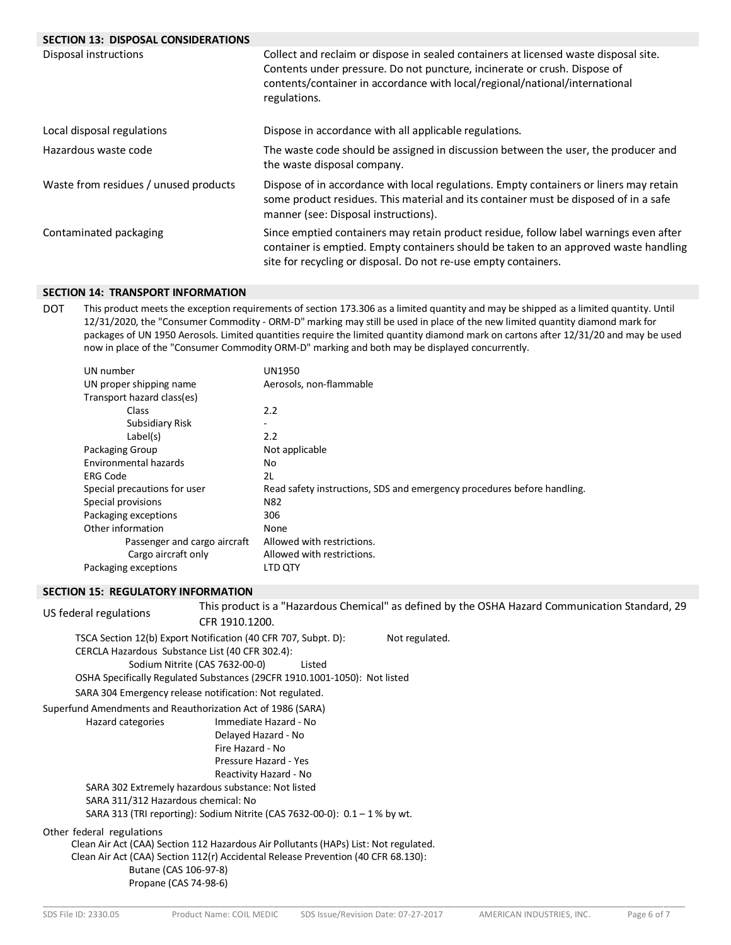| <b>SECTION 13: DISPOSAL CONSIDERATIONS</b> |                                                                                                                                                                                                                                                                  |
|--------------------------------------------|------------------------------------------------------------------------------------------------------------------------------------------------------------------------------------------------------------------------------------------------------------------|
| Disposal instructions                      | Collect and reclaim or dispose in sealed containers at licensed waste disposal site.<br>Contents under pressure. Do not puncture, incinerate or crush. Dispose of<br>contents/container in accordance with local/regional/national/international<br>regulations. |
| Local disposal regulations                 | Dispose in accordance with all applicable regulations.                                                                                                                                                                                                           |
| Hazardous waste code                       | The waste code should be assigned in discussion between the user, the producer and<br>the waste disposal company.                                                                                                                                                |
| Waste from residues / unused products      | Dispose of in accordance with local regulations. Empty containers or liners may retain<br>some product residues. This material and its container must be disposed of in a safe<br>manner (see: Disposal instructions).                                           |
| Contaminated packaging                     | Since emptied containers may retain product residue, follow label warnings even after<br>container is emptied. Empty containers should be taken to an approved waste handling<br>site for recycling or disposal. Do not re-use empty containers.                 |

#### **SECTION 14: TRANSPORT INFORMATION**

DOT This product meets the exception requirements of section 173.306 as a limited quantity and may be shipped as a limited quantity. Until 12/31/2020, the "Consumer Commodity - ORM-D" marking may still be used in place of the new limited quantity diamond mark for packages of UN 1950 Aerosols. Limited quantities require the limited quantity diamond mark on cartons after 12/31/20 and may be used now in place of the "Consumer Commodity ORM-D" marking and both may be displayed concurrently.

| UN number                    | <b>UN1950</b>                                                           |
|------------------------------|-------------------------------------------------------------------------|
| UN proper shipping name      | Aerosols, non-flammable                                                 |
| Transport hazard class(es)   |                                                                         |
| Class                        | 2.2                                                                     |
| Subsidiary Risk              |                                                                         |
| Label(s)                     | 2.2                                                                     |
| Packaging Group              | Not applicable                                                          |
| Environmental hazards        | No                                                                      |
| ERG Code                     | 2L                                                                      |
| Special precautions for user | Read safety instructions, SDS and emergency procedures before handling. |
| Special provisions           | N82                                                                     |
| Packaging exceptions         | 306                                                                     |
| Other information            | None                                                                    |
| Passenger and cargo aircraft | Allowed with restrictions.                                              |
| Cargo aircraft only          | Allowed with restrictions.                                              |
| Packaging exceptions         | LTD OTY                                                                 |

#### **SECTION 15: REGULATORY INFORMATION**

US federal regulations This product is a "Hazardous Chemical" as defined by the OSHA Hazard Communication Standard, 29 CFR 1910.1200. TSCA Section 12(b) Export Notification (40 CFR 707, Subpt. D): Not regulated. CERCLA Hazardous Substance List (40 CFR 302.4): Sodium Nitrite (CAS 7632-00-0) Listed OSHA Specifically Regulated Substances (29CFR 1910.1001-1050): Not listed SARA 304 Emergency release notification: Not regulated. Superfund Amendments and Reauthorization Act of 1986 (SARA) Hazard categories Immediate Hazard - No Delayed Hazard - No Fire Hazard - No Pressure Hazard - Yes Reactivity Hazard - No SARA 302 Extremely hazardous substance: Not listed SARA 311/312 Hazardous chemical: No SARA 313 (TRI reporting): Sodium Nitrite (CAS 7632-00-0): 0.1 – 1 % by wt. Other federal regulations Clean Air Act (CAA) Section 112 Hazardous Air Pollutants (HAPs) List: Not regulated. Clean Air Act (CAA) Section 112(r) Accidental Release Prevention (40 CFR 68.130): Butane (CAS 106-97-8) Propane (CAS 74-98-6)